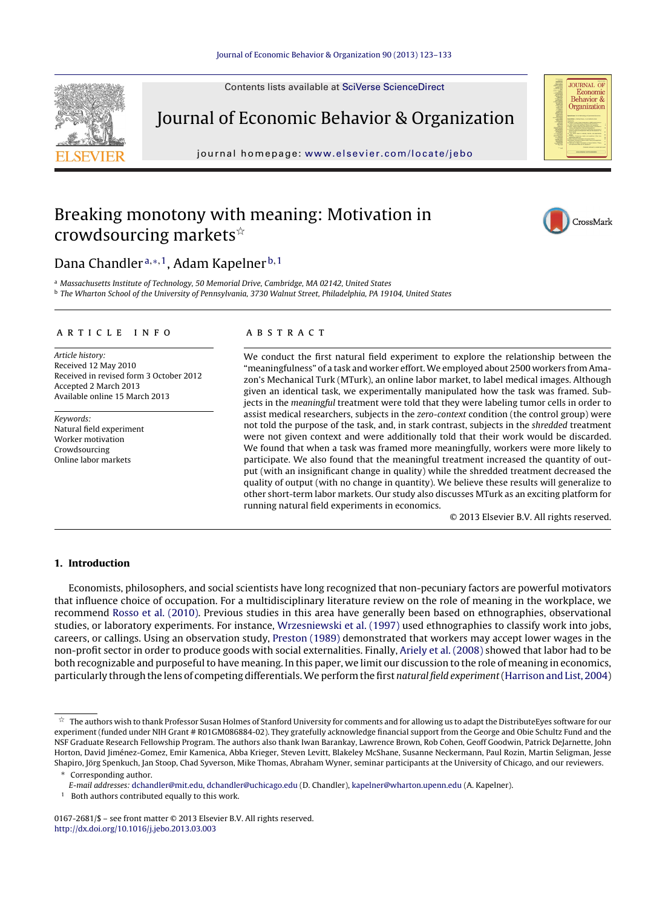Contents lists available at SciVerse [ScienceDirect](http://www.sciencedirect.com/science/journal/01672681)



Journal of Economic Behavior & Organization

journal homepage: [www.elsevier.com/locate/jebo](http://www.elsevier.com/locate/jebo)



## Breaking monotony with meaning: Motivation in crowdsourcing markets $^{\star}$



### Dana Chandler<sup>a,∗,1</sup>, Adam Kapelner<sup>b,1</sup>

a Massachusetts Institute of Technology, 50 Memorial Drive, Cambridge, MA 02142, United States

<sup>b</sup> The Wharton School of the University of Pennsylvania, 3730 Walnut Street, Philadelphia, PA 19104, United States

#### a r t i c l e i n f o

Article history: Received 12 May 2010 Received in revised form 3 October 2012 Accepted 2 March 2013 Available online 15 March 2013

Keywords: Natural field experiment Worker motivation Crowdsourcing Online labor markets

#### A B S T R A C T

We conduct the first natural field experiment to explore the relationship between the "meaningfulness" of a task and worker effort. We employed about 2500 workers from Amazon's Mechanical Turk (MTurk), an online labor market, to label medical images. Although given an identical task, we experimentally manipulated how the task was framed. Subjects in the meaningful treatment were told that they were labeling tumor cells in order to assist medical researchers, subjects in the zero-context condition (the control group) were not told the purpose of the task, and, in stark contrast, subjects in the shredded treatment were not given context and were additionally told that their work would be discarded. We found that when a task was framed more meaningfully, workers were more likely to participate. We also found that the meaningful treatment increased the quantity of output (with an insignificant change in quality) while the shredded treatment decreased the quality of output (with no change in quantity). We believe these results will generalize to other short-term labor markets. Our study also discusses MTurk as an exciting platform for running natural field experiments in economics.

© 2013 Elsevier B.V. All rights reserved.

#### **1. Introduction**

Economists, philosophers, and social scientists have long recognized that non-pecuniary factors are powerful motivators that influence choice of occupation. For a multidisciplinary literature review on the role of meaning in the workplace, we recommend [Rosso](#page--1-0) et [al.](#page--1-0) [\(2010\).](#page--1-0) Previous studies in this area have generally been based on ethnographies, observational studies, or laboratory experiments. For instance, [Wrzesniewski](#page--1-0) et [al.](#page--1-0) [\(1997\)](#page--1-0) used ethnographies to classify work into jobs, careers, or callings. Using an observation study, [Preston](#page--1-0) [\(1989\)](#page--1-0) demonstrated that workers may accept lower wages in the non-profit sector in order to produce goods with social externalities. Finally, [Ariely](#page--1-0) et [al.](#page--1-0) [\(2008\)](#page--1-0) showed that labor had to be both recognizable and purposeful to have meaning. In this paper, we limit our discussion to the role of meaning in economics, particularly through the lens of competing differentials.We perform the first natural field experiment[\(Harrison](#page--1-0) [and](#page--1-0) [List,](#page--1-0) [2004\)](#page--1-0)

 $\gamma_{\rm s}^{\rm A}$  The authors wish to thank Professor Susan Holmes of Stanford University for comments and for allowing us to adapt the DistributeEyes software for our experiment (funded under NIH Grant # R01GM086884-02). They gratefully acknowledge financial support from the George and Obie Schultz Fund and the NSF Graduate Research Fellowship Program. The authors also thank Iwan Barankay, Lawrence Brown, Rob Cohen, Geoff Goodwin, Patrick DeJarnette, John Horton, David Jiménez-Gomez, Emir Kamenica, Abba Krieger, Steven Levitt, Blakeley McShane, Susanne Neckermann, Paul Rozin, Martin Seligman, Jesse Shapiro, Jörg Spenkuch, Jan Stoop, Chad Syverson, Mike Thomas, Abraham Wyner, seminar participants at the University of Chicago, and our reviewers.

Corresponding author.

E-mail addresses: [dchandler@mit.edu](mailto:dchandler@mit.edu), [dchandler@uchicago.edu](mailto:dchandler@uchicago.edu) (D. Chandler), [kapelner@wharton.upenn.edu](mailto:kapelner@wharton.upenn.edu) (A. Kapelner).

 $1$  Both authors contributed equally to this work.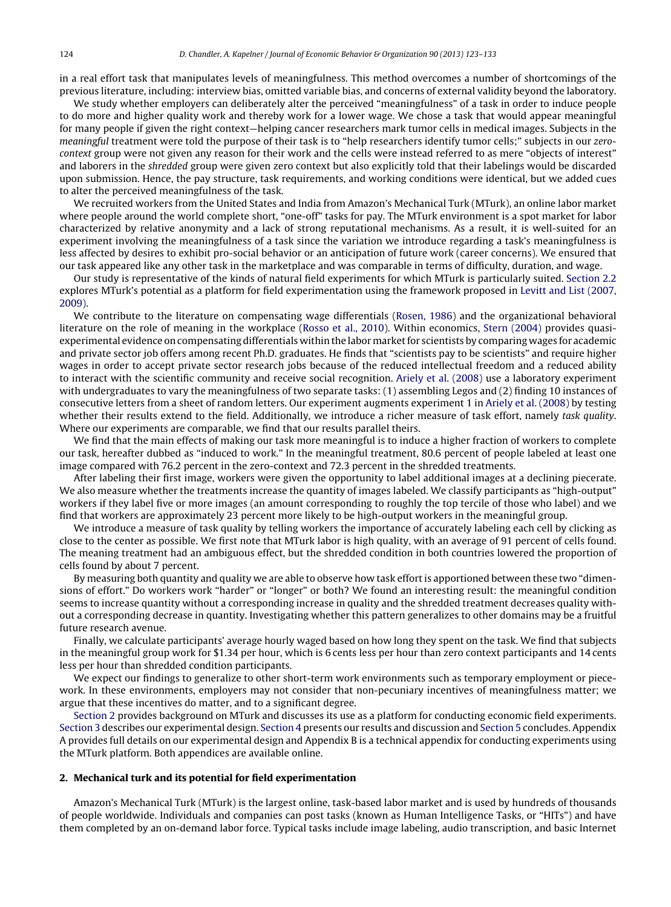in a real effort task that manipulates levels of meaningfulness. This method overcomes a number of shortcomings of the previous literature, including: interview bias, omitted variable bias, and concerns of external validity beyond the laboratory.

We study whether employers can deliberately alter the perceived "meaningfulness" of a task in order to induce people to do more and higher quality work and thereby work for a lower wage. We chose a task that would appear meaningful for many people if given the right context—helping cancer researchers mark tumor cells in medical images. Subjects in the meaningful treatment were told the purpose of their task is to "help researchers identify tumor cells;" subjects in our zerocontext group were not given any reason for their work and the cells were instead referred to as mere "objects of interest" and laborers in the shredded group were given zero context but also explicitly told that their labelings would be discarded upon submission. Hence, the pay structure, task requirements, and working conditions were identical, but we added cues to alter the perceived meaningfulness of the task.

We recruited workers from the United States and India from Amazon's Mechanical Turk (MTurk), an online labor market where people around the world complete short, "one-off" tasks for pay. The MTurk environment is a spot market for labor characterized by relative anonymity and a lack of strong reputational mechanisms. As a result, it is well-suited for an experiment involving the meaningfulness of a task since the variation we introduce regarding a task's meaningfulness is less affected by desires to exhibit pro-social behavior or an anticipation of future work (career concerns). We ensured that our task appeared like any other task in the marketplace and was comparable in terms of difficulty, duration, and wage.

Our study is representative of the kinds of natural field experiments for which MTurk is particularly suited. [Section](#page--1-0) [2.2](#page--1-0) explores MTurk's potential as a platform for field experimentation using the framework proposed in [Levitt](#page--1-0) [and](#page--1-0) [List](#page--1-0) [\(2007,](#page--1-0) [2009\).](#page--1-0)

We contribute to the literature on compensating wage differentials [\(Rosen,](#page--1-0) [1986\)](#page--1-0) and the organizational behavioral literature on the role of meaning in the workplace ([Rosso](#page--1-0) et [al.,](#page--1-0) [2010\).](#page--1-0) Within economics, [Stern](#page--1-0) [\(2004\)](#page--1-0) provides quasiexperimental evidence on compensating differentials within the labor market for scientists by comparing wages for academic and private sector job offers among recent Ph.D. graduates. He finds that "scientists pay to be scientists" and require higher wages in order to accept private sector research jobs because of the reduced intellectual freedom and a reduced ability to interact with the scientific community and receive social recognition. [Ariely](#page--1-0) et [al.](#page--1-0) [\(2008\)](#page--1-0) use a laboratory experiment with undergraduates to vary the meaningfulness of two separate tasks: (1) assembling Legos and (2) finding 10 instances of consecutive letters from a sheet of random letters. Our experiment augments experiment 1 in [Ariely](#page--1-0) et [al.](#page--1-0) [\(2008\)](#page--1-0) by testing whether their results extend to the field. Additionally, we introduce a richer measure of task effort, namely task quality. Where our experiments are comparable, we find that our results parallel theirs.

We find that the main effects of making our task more meaningful is to induce a higher fraction of workers to complete our task, hereafter dubbed as "induced to work." In the meaningful treatment, 80.6 percent of people labeled at least one image compared with 76.2 percent in the zero-context and 72.3 percent in the shredded treatments.

After labeling their first image, workers were given the opportunity to label additional images at a declining piecerate. We also measure whether the treatments increase the quantity of images labeled. We classify participants as "high-output" workers if they label five or more images (an amount corresponding to roughly the top tercile of those who label) and we find that workers are approximately 23 percent more likely to be high-output workers in the meaningful group.

We introduce a measure of task quality by telling workers the importance of accurately labeling each cell by clicking as close to the center as possible. We first note that MTurk labor is high quality, with an average of 91 percent of cells found. The meaning treatment had an ambiguous effect, but the shredded condition in both countries lowered the proportion of cells found by about 7 percent.

By measuring both quantity and quality we are able to observe how task effort is apportioned between these two "dimensions of effort." Do workers work "harder" or "longer" or both? We found an interesting result: the meaningful condition seems to increase quantity without a corresponding increase in quality and the shredded treatment decreases quality without a corresponding decrease in quantity. Investigating whether this pattern generalizes to other domains may be a fruitful future research avenue.

Finally, we calculate participants' average hourly waged based on how long they spent on the task. We find that subjects in the meaningful group work for \$1.34 per hour, which is 6 cents less per hour than zero context participants and 14 cents less per hour than shredded condition participants.

We expect our findings to generalize to other short-term work environments such as temporary employment or piecework. In these environments, employers may not consider that non-pecuniary incentives of meaningfulness matter; we argue that these incentives do matter, and to a significant degree.

Section 2 provides background on MTurk and discusses its use as a platform for conducting economic field experiments. [Section](#page--1-0) [3](#page--1-0) describes our experimental design. [Section](#page--1-0) [4](#page--1-0) presents our results and discussion and [Section](#page--1-0) [5](#page--1-0) concludes. Appendix A provides full details on our experimental design and Appendix B is a technical appendix for conducting experiments using the MTurk platform. Both appendices are available online.

#### **2. Mechanical turk and its potential for field experimentation**

Amazon's Mechanical Turk (MTurk) is the largest online, task-based labor market and is used by hundreds of thousands of people worldwide. Individuals and companies can post tasks (known as Human Intelligence Tasks, or "HITs") and have them completed by an on-demand labor force. Typical tasks include image labeling, audio transcription, and basic Internet